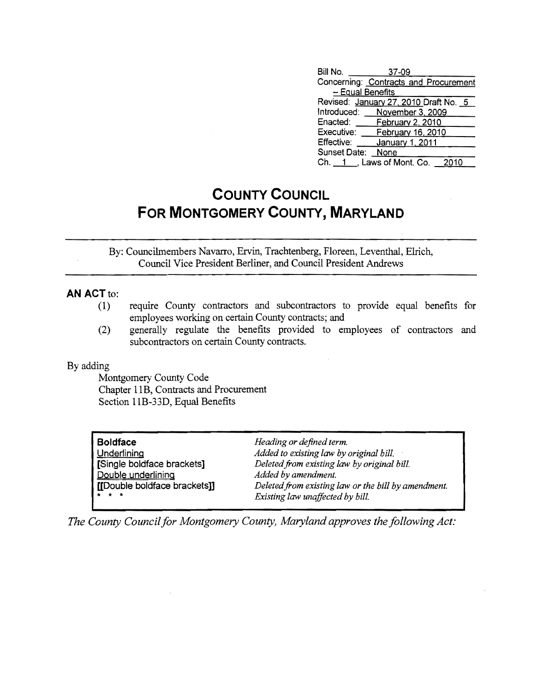| Bill No.         | 37-09                                 |  |
|------------------|---------------------------------------|--|
|                  | Concerning: Contracts and Procurement |  |
| - Equal Benefits |                                       |  |
|                  | Revised: January 27, 2010 Draft No. 5 |  |
| Introduced:      | November 3, 2009                      |  |
| Enacted:         | February 2, 2010                      |  |
| Executive:       | February 16, 2010                     |  |
| Effective:       | January 1, 2011                       |  |
| Sunset Date:     | None                                  |  |
|                  | Ch. 1 , Laws of Mont. Co.<br>2010     |  |

## **COUNTY COUNCIL FOR MONTGOMERY COUNTY, MARYLAND**

By: Councilmembers Navarro, Ervin, Trachtenberg, Floreen, Leventhal, EIrich, Council Vice President Berliner, and Council President Andrews

## **AN ACT to:**

- (1) require County contractors and subcontractors to provide equal benefits for employees working on certain County contracts; an d
- (2) generally regulate the benefits provided to emp loyees of con tractors and subcontractors on certain County contracts.

## By adding

Montgomery County Code Chapter 11B, Contracts and Procurement Section IIB-33D, Equal Benefits

| <b>Boldface</b>              | Heading or defined term.                            |
|------------------------------|-----------------------------------------------------|
| <b>Underlining</b>           | Added to existing law by original bill.             |
| [Single boldface brackets]   | Deleted from existing law by original bill.         |
| Double underlining           | Added by amendment.                                 |
| [[Double boldface brackets]] | Deleted from existing law or the bill by amendment. |
| $\star$ $\star$ $\star$      | Existing law unaffected by bill.                    |

*The County Council for Montgomery County, Maryland approves the following Act:*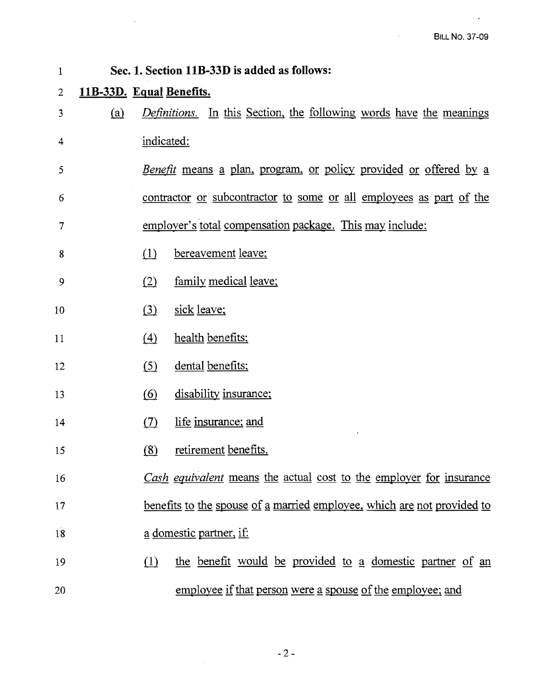$\sigma_{\rm{max}}=0.1$ 

 $\mathcal{A}^{\pm}$ 

| 1  |                                                                     |                                                          | Sec. 1. Section 11B-33D is added as follows:                               |  |
|----|---------------------------------------------------------------------|----------------------------------------------------------|----------------------------------------------------------------------------|--|
| 2  | 11B-33D. Equal Benefits.                                            |                                                          |                                                                            |  |
| 3  | (a)                                                                 |                                                          | <i>Definitions.</i> In this Section, the following words have the meanings |  |
| 4  |                                                                     | indicated:                                               |                                                                            |  |
| 5  |                                                                     |                                                          | <u>Benefit means a plan, program, or policy provided or offered by a</u>   |  |
| 6  | contractor or subcontractor to some or all employees as part of the |                                                          |                                                                            |  |
| 7  |                                                                     | employer's total compensation package. This may include: |                                                                            |  |
| 8  |                                                                     | (1)                                                      | bereavement leave;                                                         |  |
| 9  |                                                                     | (2)                                                      | family medical leave;                                                      |  |
| 10 |                                                                     | (3)                                                      | sick leave;                                                                |  |
| 11 |                                                                     | $\left(4\right)$                                         | health benefits;                                                           |  |
| 12 |                                                                     | (5)                                                      | dental benefits;                                                           |  |
| 13 |                                                                     | $\circ$                                                  | disability insurance;                                                      |  |
| 14 |                                                                     | (7)                                                      | life insurance; and                                                        |  |
| 15 |                                                                     | (8)                                                      | retirement benefits.                                                       |  |
| 16 |                                                                     |                                                          | Cash equivalent means the actual cost to the employer for insurance        |  |
| 17 |                                                                     |                                                          | benefits to the spouse of a married employee, which are not provided to    |  |
| 18 |                                                                     |                                                          | a domestic partner, if:                                                    |  |
| 19 |                                                                     | (1)                                                      | the benefit would be provided to a domestic partner of an                  |  |
| 20 |                                                                     |                                                          | employee if that person were a spouse of the employee; and                 |  |

 $-2-$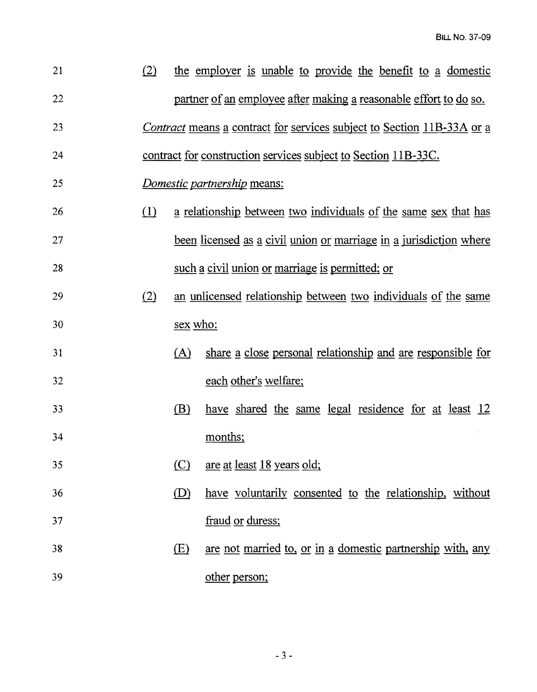| 21 | (2) |          | the employer is unable to provide the benefit to a domestic                   |
|----|-----|----------|-------------------------------------------------------------------------------|
| 22 |     |          | partner of an employee after making a reasonable effort to do so.             |
| 23 |     |          | <i>Contract</i> means a contract for services subject to Section 11B-33A or a |
| 24 |     |          | contract for construction services subject to Section 11B-33C.                |
| 25 |     |          | Domestic partnership means:                                                   |
| 26 | (1) |          | a relationship between two individuals of the same sex that has               |
| 27 |     |          | <u>been licensed as a civil union or marriage in a jurisdiction where</u>     |
| 28 |     |          | such a civil union or marriage is permitted; or                               |
| 29 | (2) |          | an unlicensed relationship between two individuals of the same                |
| 30 |     | sex who: |                                                                               |
| 31 |     | (A)      | share a close personal relationship and are responsible for                   |
| 32 |     |          | each other's welfare;                                                         |
| 33 |     | (B)      | have shared the same legal residence for at least 12                          |
| 34 |     |          | months;                                                                       |
| 35 |     | (C)      | <u>are at least 18 years old;</u>                                             |
| 36 |     | (D)      | have voluntarily consented to the relationship, without                       |
| 37 |     |          | fraud or duress;                                                              |
| 38 |     | (E)      | are not married to, or in a domestic partnership with, any                    |
| 39 |     |          | other person;                                                                 |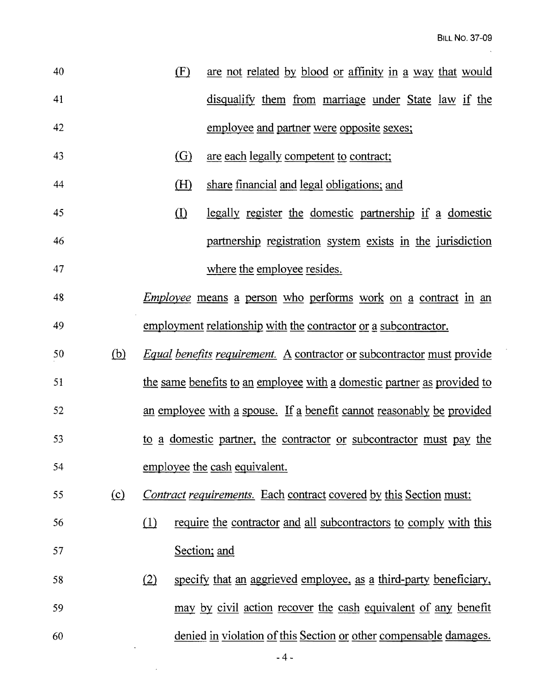$\bar{\psi}$ 

| 40 |            | (F)      | are not related by blood or affinity in a way that would                      |
|----|------------|----------|-------------------------------------------------------------------------------|
| 41 |            |          | disqualify them from marriage under State law if the                          |
| 42 |            |          | employee and partner were opposite sexes;                                     |
| 43 |            | (G)      | are each legally competent to contract;                                       |
| 44 |            | (H)      | share financial and legal obligations; and                                    |
| 45 |            | $\Omega$ | <u>legally register the domestic partnership if a domestic</u>                |
| 46 |            |          | partnership registration system exists in the jurisdiction                    |
| 47 |            |          | where the employee resides.                                                   |
| 48 |            |          | <i>Employee</i> means a person who performs work on a contract in an          |
| 49 |            |          | employment relationship with the contractor or a subcontractor.               |
| 50 | <u>(b)</u> |          | <i>Equal benefits requirement.</i> A contractor or subcontractor must provide |
| 51 |            |          | the same benefits to an employee with a domestic partner as provided to       |
| 52 |            |          | an employee with a spouse. If a benefit cannot reasonably be provided         |
| 53 |            |          | to a domestic partner, the contractor or subcontractor must pay the           |
| 54 |            |          | employee the cash equivalent.                                                 |
| 55 | $\Omega$   |          | <i>Contract requirements.</i> Each contract covered by this Section must:     |
| 56 |            | (1)      | require the contractor and all subcontractors to comply with this             |
| 57 |            |          | Section; and                                                                  |
| 58 |            | (2)      | specify that an aggrieved employee, as a third-party beneficiary,             |
| 59 |            |          | may by civil action recover the cash equivalent of any benefit                |
| 60 |            |          | denied in violation of this Section or other compensable damages.             |
|    |            |          |                                                                               |

 $\mathcal{L}(\mathcal{A})$  and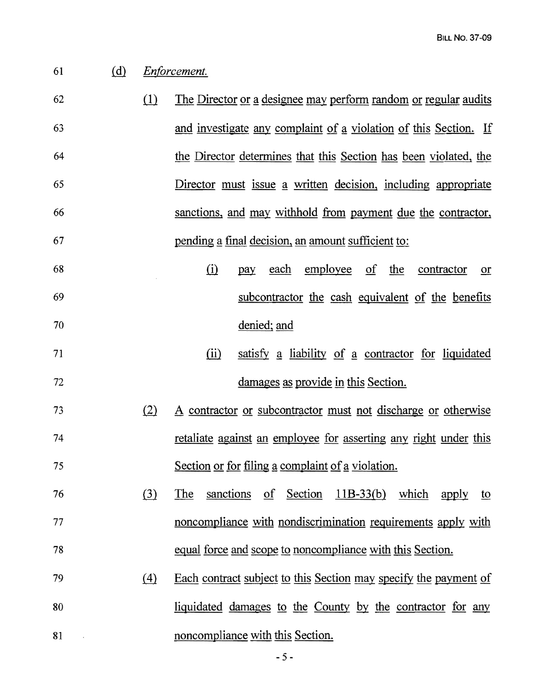## 61 @ *EnfOrcement.*

- 62 (1) The Director or a designee may perform random or regular audits 63 and investigate any complaint of a violation of this Section. If 64 the Director determines that this Section has been violated, the 65 Director must issue a written decision, including appropriate 66 sanctions, and may withhold from payment due the contractor, 67 bending a final decision, an amount sufficient to:
- 68 (i) pay each employee of the contractor or 69 subcontractor the cash equivalent of the benefits 70 denied; and
- 71 (ii) satisfy a liability of a contractor for liquidated 72 damages as provide in this Section.
- <sup>73</sup>*al* A contractor or subcontractor must not discharge or otherwise 74 retaliate against an employee for asserting any right under this 75 Section or for filing a complaint of a violation.
- 76 (3) The sanctions of Section 11B-33(b) which apply to 77 noncompliance with nondiscrimination requirements apply with 78 equal force and scope to noncompliance with this Section.
- 79 (4) Each contract subject to this Section may specify the payment of 80 liquidated damages to the County by the contractor for any 81 **81** noncompliance with this Section.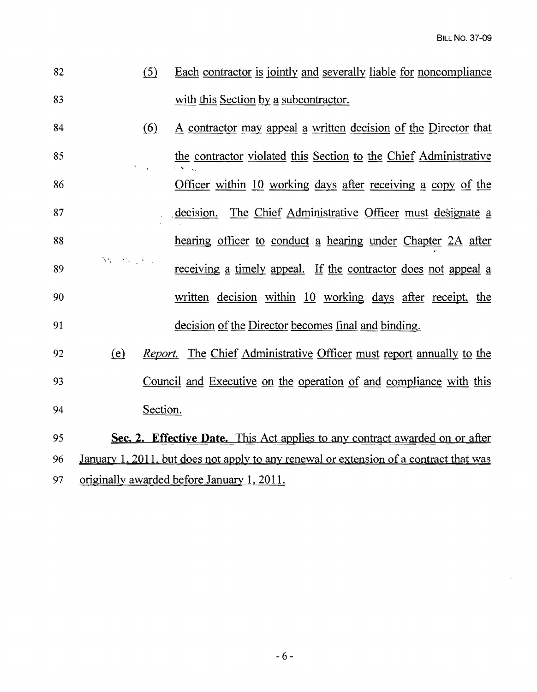| 82 | Each contractor is jointly and severally liable for noncompliance |
|----|-------------------------------------------------------------------|
| 83 | with this Section by a subcontractor.                             |

- $84$  (6) A contractor may appeal a written decision of the Director that 85 the contractor violated this Section to the Chief Administrative<br>86 Officer within 10 working days after receiving a copy of the Officer within  $10$  working days after receiving a copy of the 87 . decision. The Chief Administrative Officer must designate a 88 hearing officer to conduct a hearing under Chapter 2A after  $\mathcal{M}=\{M_{\rm eff}\}_{\rm eff}$ 89 **receiving a timely appeal.** If the contractor does not appeal a 90 written decision within 10 working days after receipt, the 91 decision of the Director becomes final and binding.
- 92 (e) *Report.* The Chief Administrative Officer must report annually to the 93 Council and Executive on the operation of and compliance with this 94 Section.

95 **Sec. 2. Effective Date.** This Act applies to any contract awarded on or after 96 January 1, 2011, but does not apply to any renewal or extension of a contract that was 97 originally awarded before January 1, 2011.